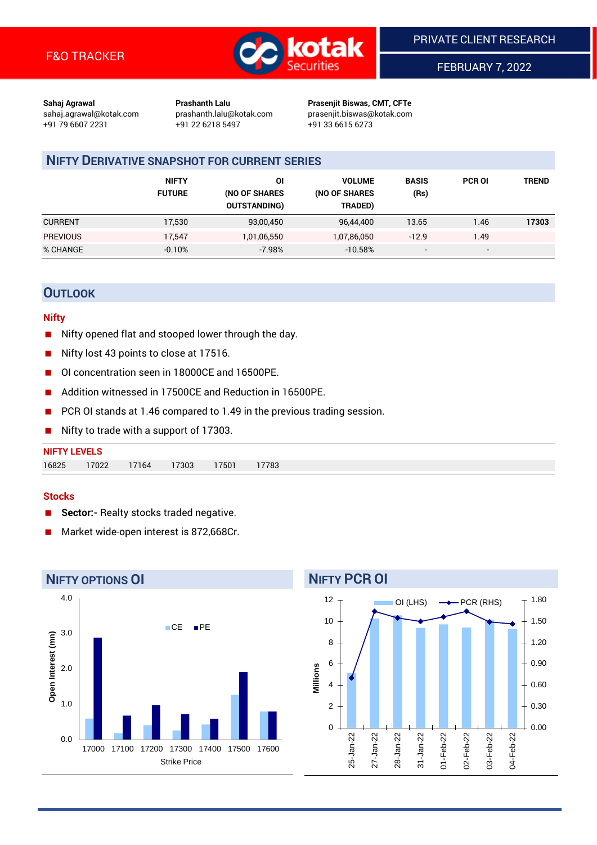

FEBRUARY 7, 2022

**Sahaj Agrawal Prashanth Lalu Prasenjit Biswas, CMT, CFTe** +91 79 6607 2231 +91 22 6218 5497 +91 33 6615 6273

sahaj.agrawal@kotak.com [prashanth.lalu@kotak.com](mailto:prashanth.lalu@kotak.com) prasenjit.biswas@kotak.com

# **NIFTY DERIVATIVE SNAPSHOT FOR CURRENT SERIES**

|                 | <b>NIFTY</b><br><b>FUTURE</b> | ΟI<br>(NO OF SHARES<br><b>OUTSTANDING)</b> | <b>VOLUME</b><br>(NO OF SHARES<br>TRADED) | <b>BASIS</b><br>(Rs)     | <b>PCR OI</b>            | TREND |
|-----------------|-------------------------------|--------------------------------------------|-------------------------------------------|--------------------------|--------------------------|-------|
| <b>CURRENT</b>  | 17,530                        | 93,00,450                                  | 96,44,400                                 | 13.65                    | 1.46                     | 17303 |
| <b>PREVIOUS</b> | 17,547                        | 1,01,06,550                                | 1,07,86,050                               | $-12.9$                  | 1.49                     |       |
| % CHANGE        | $-0.10%$                      | $-7.98%$                                   | $-10.58%$                                 | $\overline{\phantom{a}}$ | $\overline{\phantom{0}}$ |       |

# **OUTLOOK**

## **Nifty**

- Nifty opened flat and stooped lower through the day.
- Nifty lost 43 points to close at 17516.
- OI concentration seen in 18000CE and 16500PE.
- Addition witnessed in 17500CE and Reduction in 16500PE.
- PCR OI stands at 1.46 compared to 1.49 in the previous trading session.
- Nifty to trade with a support of 17303.

### **Stocks**

- **Sector:-** Realty stocks traded negative.
- Market wide-open interest is 872,668Cr.



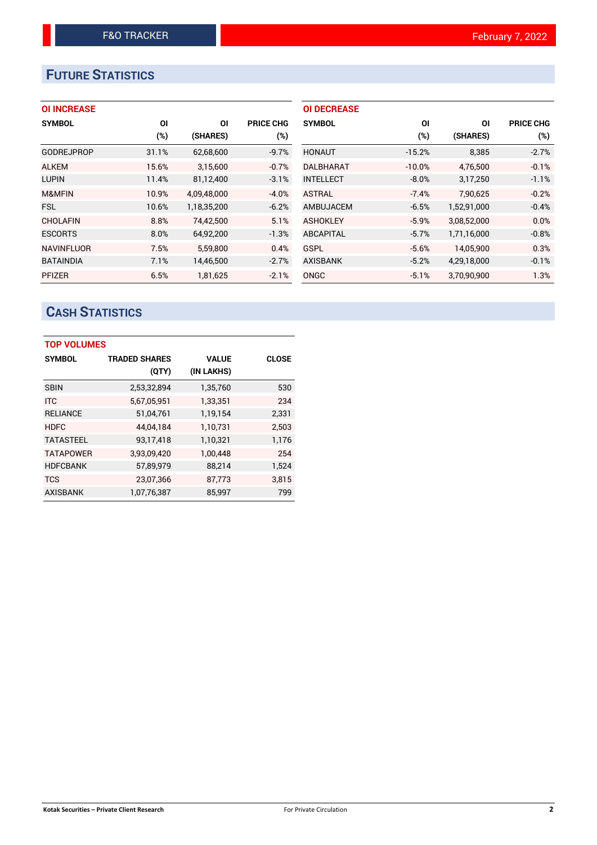# **FUTURE STATISTICS**

| <b>OI INCREASE</b> |
|--------------------|
|--------------------|

| <b>SYMBOL</b>     | ΟI    | ΟI          | <b>PRICE CHG</b> |
|-------------------|-------|-------------|------------------|
|                   | (%)   | (SHARES)    | $(\%)$           |
| <b>GODREJPROP</b> | 31.1% | 62,68,600   | $-9.7%$          |
| <b>ALKEM</b>      | 15.6% | 3,15,600    | $-0.7%$          |
| <b>LUPIN</b>      | 11.4% | 81,12,400   | $-3.1%$          |
| M&MFIN            | 10.9% | 4,09,48,000 | $-4.0%$          |
| <b>FSL</b>        | 10.6% | 1,18,35,200 | $-6.2%$          |
| <b>CHOLAFIN</b>   | 8.8%  | 74,42,500   | 5.1%             |
| <b>ESCORTS</b>    | 8.0%  | 64,92,200   | $-1.3%$          |
| <b>NAVINFLUOR</b> | 7.5%  | 5,59,800    | 0.4%             |
| <b>BATAINDIA</b>  | 7.1%  | 14,46,500   | $-2.7%$          |
| <b>PFIZER</b>     | 6.5%  | 1,81,625    | $-2.1%$          |

| <b>OI DECREASE</b> |          |             |                  |
|--------------------|----------|-------------|------------------|
| <b>SYMBOL</b>      | ΟI       | ΟI          | <b>PRICE CHG</b> |
|                    | $(\%)$   | (SHARES)    | (%)              |
| <b>HONAUT</b>      | $-15.2%$ | 8,385       | $-2.7%$          |
| DALBHARAT          | $-10.0%$ | 4,76,500    | $-0.1%$          |
| <b>INTELLECT</b>   | $-8.0%$  | 3,17,250    | $-1.1%$          |
| <b>ASTRAL</b>      | $-7.4%$  | 7.90.625    | $-0.2%$          |
| AMBUJACEM          | $-6.5%$  | 1,52,91,000 | $-0.4%$          |
| <b>ASHOKLEY</b>    | $-5.9%$  | 3,08,52,000 | 0.0%             |
| <b>ABCAPITAL</b>   | $-5.7%$  | 1,71,16,000 | $-0.8\%$         |
| GSPL               | $-5.6%$  | 14,05,900   | 0.3%             |
| <b>AXISBANK</b>    | $-5.2%$  | 4,29,18,000 | $-0.1%$          |
| ONGC               | $-5.1%$  | 3,70,90,900 | 1.3%             |

# **CASH STATISTICS**

| <b>TOP VOLUMES</b> |                      |              |              |  |  |  |  |  |
|--------------------|----------------------|--------------|--------------|--|--|--|--|--|
| <b>SYMBOL</b>      | <b>TRADED SHARES</b> | <b>VALUE</b> | <b>CLOSE</b> |  |  |  |  |  |
|                    | (QTY)                | (IN LAKHS)   |              |  |  |  |  |  |
| <b>SBIN</b>        | 2,53,32,894          | 1,35,760     | 530          |  |  |  |  |  |
| <b>ITC</b>         | 5,67,05,951          | 1,33,351     | 234          |  |  |  |  |  |
| <b>RELIANCE</b>    | 51,04,761            | 1,19,154     | 2,331        |  |  |  |  |  |
| <b>HDFC</b>        | 44,04,184            | 1,10,731     | 2.503        |  |  |  |  |  |
| <b>TATASTEEL</b>   | 93,17,418            | 1,10,321     | 1,176        |  |  |  |  |  |
| <b>TATAPOWER</b>   | 3,93,09,420          | 1,00,448     | 254          |  |  |  |  |  |
| <b>HDFCBANK</b>    | 57,89,979            | 88,214       | 1,524        |  |  |  |  |  |
| <b>TCS</b>         | 23,07,366            | 87,773       | 3,815        |  |  |  |  |  |
| <b>AXISBANK</b>    | 1,07,76,387          | 85,997       | 799          |  |  |  |  |  |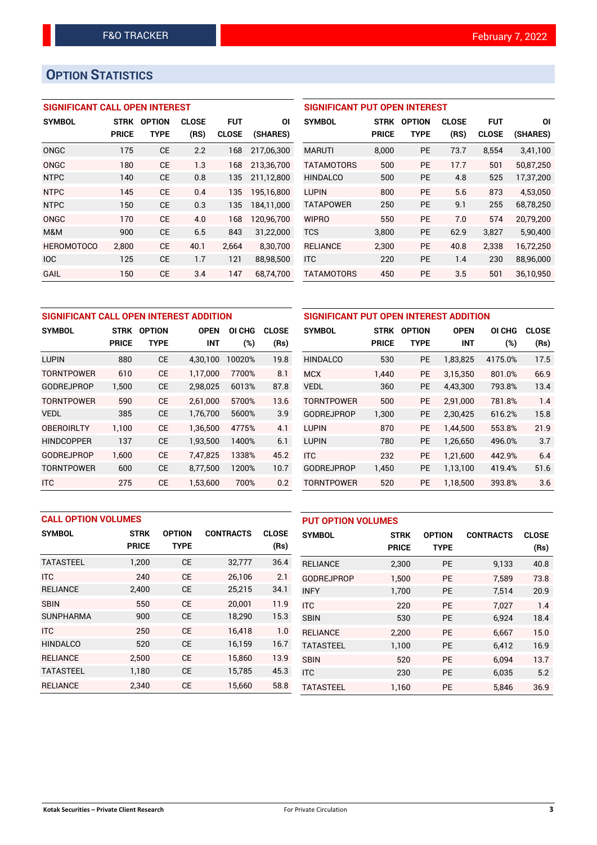# **OPTION STATISTICS**

# **SIGNIFICANT CALL OPEN INTEREST**

| <b>SYMBOL</b>     | <b>STRK</b>  | <b>OPTION</b> | <b>CLOSE</b> | <b>FUT</b>   | ΟI         |
|-------------------|--------------|---------------|--------------|--------------|------------|
|                   | <b>PRICE</b> | TYPE          | (RS)         | <b>CLOSE</b> | (SHARES)   |
| ONGC              | 175          | <b>CE</b>     | 2.2          | 168          | 217.06.300 |
| ONGC              | 180          | CE            | 1.3          | 168          | 213,36,700 |
| <b>NTPC</b>       | 140          | <b>CE</b>     | 0.8          | 135          | 211,12,800 |
| <b>NTPC</b>       | 145          | <b>CE</b>     | 0.4          | 135          | 195,16,800 |
| <b>NTPC</b>       | 150          | CE            | 0.3          | 135          | 184,11,000 |
| ONGC              | 170          | CF            | 4.0          | 168          | 120,96,700 |
| M&M               | 900          | CE            | 6.5          | 843          | 31,22,000  |
| <b>HEROMOTOCO</b> | 2,800        | CE            | 40.1         | 2.664        | 8,30,700   |
| <b>IOC</b>        | 125          | <b>CE</b>     | 1.7          | 121          | 88,98,500  |
| GAIL              | 150          | CE            | 3.4          | 147          | 68.74.700  |

## **SIGNIFICANT PUT OPEN INTEREST**

| <b>SYMBOL</b>     | <b>STRK</b><br>PRICE | <b>OPTION</b><br>TYPE | <b>CLOSE</b><br>(RS) | FUT<br><b>CLOSE</b> | ΟI<br>(SHARES) |
|-------------------|----------------------|-----------------------|----------------------|---------------------|----------------|
| <b>MARUTI</b>     | 8.000                | <b>PE</b>             | 73.7                 | 8.554               | 3,41,100       |
| <b>TATAMOTORS</b> | 500                  | <b>PE</b>             | 17.7                 | 501                 | 50,87,250      |
| <b>HINDALCO</b>   | 500                  | <b>PE</b>             | 4.8                  | 525                 | 17,37,200      |
| <b>LUPIN</b>      | 800                  | PF                    | 5.6                  | 873                 | 4,53,050       |
| <b>TATAPOWER</b>  | 250                  | PF                    | 9.1                  | 255                 | 68,78,250      |
| <b>WIPRO</b>      | 550                  | PF                    | 7.0                  | 574                 | 20,79,200      |
| <b>TCS</b>        | 3.800                | <b>PE</b>             | 62.9                 | 3,827               | 5,90,400       |
| <b>RELIANCE</b>   | 2,300                | <b>PE</b>             | 40.8                 | 2,338               | 16,72,250      |
| <b>ITC</b>        | 220                  | PE                    | 1.4                  | 230                 | 88,96,000      |
| <b>TATAMOTORS</b> | 450                  | PE                    | 3.5                  | 501                 | 36,10,950      |

| SIGNIFICANT CALL OPEN INTEREST ADDITION |              |               |             |        | SIGNIFICANT PUT OPEN INTEREST ADDITION |                   |              |               |             |         |              |
|-----------------------------------------|--------------|---------------|-------------|--------|----------------------------------------|-------------------|--------------|---------------|-------------|---------|--------------|
| <b>SYMBOL</b>                           | <b>STRK</b>  | <b>OPTION</b> | <b>OPEN</b> | OI CHG | <b>CLOSE</b>                           | <b>SYMBOL</b>     | <b>STRK</b>  | <b>OPTION</b> | <b>OPEN</b> | OI CHG  | <b>CLOSE</b> |
|                                         | <b>PRICE</b> | <b>TYPE</b>   | <b>INT</b>  | (%)    | (Rs)                                   |                   | <b>PRICE</b> | <b>TYPE</b>   | INT         | $(\%)$  | (Rs)         |
| <b>LUPIN</b>                            | 880          | <b>CE</b>     | 4.30.100    | 10020% | 19.8                                   | <b>HINDALCO</b>   | 530          | <b>PE</b>     | 1,83,825    | 4175.0% | 17.5         |
| <b>TORNTPOWER</b>                       | 610          | <b>CE</b>     | 1.17.000    | 7700%  | 8.1                                    | <b>MCX</b>        | 1.440        | <b>PE</b>     | 3.15.350    | 801.0%  | 66.9         |
| <b>GODREJPROP</b>                       | 1,500        | <b>CE</b>     | 2,98,025    | 6013%  | 87.8                                   | <b>VEDL</b>       | 360          | <b>PE</b>     | 4,43,300    | 793.8%  | 13.4         |
| <b>TORNTPOWER</b>                       | 590          | <b>CE</b>     | 2.61.000    | 5700%  | 13.6                                   | TORNTPOWER        | 500          | <b>PE</b>     | 2.91.000    | 781.8%  | 1.4          |
| <b>VEDL</b>                             | 385          | <b>CE</b>     | 1,76,700    | 5600%  | 3.9                                    | <b>GODREJPROP</b> | 1,300        | PE            | 2,30,425    | 616.2%  | 15.8         |
| <b>OBEROIRLTY</b>                       | 1,100        | <b>CE</b>     | 1,36,500    | 4775%  | 4.1                                    | <b>LUPIN</b>      | 870          | <b>PE</b>     | 1.44.500    | 553.8%  | 21.9         |
| <b>HINDCOPPER</b>                       | 137          | <b>CE</b>     | 1,93,500    | 1400%  | 6.1                                    | <b>LUPIN</b>      | 780          | <b>PE</b>     | 1,26,650    | 496.0%  | 3.7          |
| <b>GODREJPROP</b>                       | 1.600        | <b>CE</b>     | 7.47.825    | 1338%  | 45.2                                   | <b>ITC</b>        | 232          | <b>PE</b>     | 1.21.600    | 442.9%  | 6.4          |
| <b>TORNTPOWER</b>                       | 600          | <b>CE</b>     | 8,77,500    | 1200%  | 10.7                                   | <b>GODREJPROP</b> | 1,450        | <b>PE</b>     | 1,13,100    | 419.4%  | 51.6         |
| <b>ITC</b>                              | 275          | <b>CE</b>     | 1,53,600    | 700%   | 0.2                                    | TORNTPOWER        | 520          | <b>PE</b>     | 1.18.500    | 393.8%  | 3.6          |

|                  | <b>CALL OPTION VOLUMES</b> |               |                  |              |                   | <b>PUT OPTION VOLUMES</b> |               |                  |              |  |
|------------------|----------------------------|---------------|------------------|--------------|-------------------|---------------------------|---------------|------------------|--------------|--|
| <b>SYMBOL</b>    | <b>STRK</b>                | <b>OPTION</b> | <b>CONTRACTS</b> | <b>CLOSE</b> | <b>SYMBOL</b>     | <b>STRK</b>               | <b>OPTION</b> | <b>CONTRACTS</b> | <b>CLOSE</b> |  |
|                  | <b>PRICE</b>               | <b>TYPE</b>   |                  | (Rs)         |                   | <b>PRICE</b>              | <b>TYPE</b>   |                  | (Rs)         |  |
| <b>TATASTEEL</b> | 1,200                      | <b>CE</b>     | 32,777           | 36.4         | <b>RELIANCE</b>   | 2,300                     | <b>PE</b>     | 9,133            | 40.8         |  |
| <b>ITC</b>       | 240                        | <b>CE</b>     | 26,106           | 2.1          | <b>GODREJPROP</b> | 1.500                     | <b>PE</b>     | 7.589            | 73.8         |  |
| <b>RELIANCE</b>  | 2,400                      | <b>CE</b>     | 25,215           | 34.1         | <b>INFY</b>       | 1,700                     | <b>PE</b>     | 7,514            | 20.9         |  |
| <b>SBIN</b>      | 550                        | <b>CE</b>     | 20.001           | 11.9         | <b>ITC</b>        | 220                       | <b>PE</b>     | 7.027            | 1.4          |  |
| <b>SUNPHARMA</b> | 900                        | <b>CE</b>     | 18,290           | 15.3         | <b>SBIN</b>       | 530                       | <b>PE</b>     | 6,924            | 18.4         |  |
| <b>ITC</b>       | 250                        | <b>CE</b>     | 16.418           | 1.0          | <b>RELIANCE</b>   | 2.200                     | <b>PE</b>     | 6.667            | 15.0         |  |
| <b>HINDALCO</b>  | 520                        | <b>CE</b>     | 16,159           | 16.7         | <b>TATASTEEL</b>  | 1,100                     | <b>PE</b>     | 6,412            | 16.9         |  |
| <b>RELIANCE</b>  | 2.500                      | <b>CE</b>     | 15.860           | 13.9         | <b>SBIN</b>       | 520                       | <b>PE</b>     | 6.094            | 13.7         |  |
| <b>TATASTEEL</b> | 1,180                      | <b>CE</b>     | 15,785           | 45.3         | <b>ITC</b>        | 230                       | <b>PE</b>     | 6.035            | 5.2          |  |
| <b>RELIANCE</b>  | 2.340                      | <b>CE</b>     | 15,660           | 58.8         | <b>TATASTEEL</b>  | 1.160                     | <b>PE</b>     | 5.846            | 36.9         |  |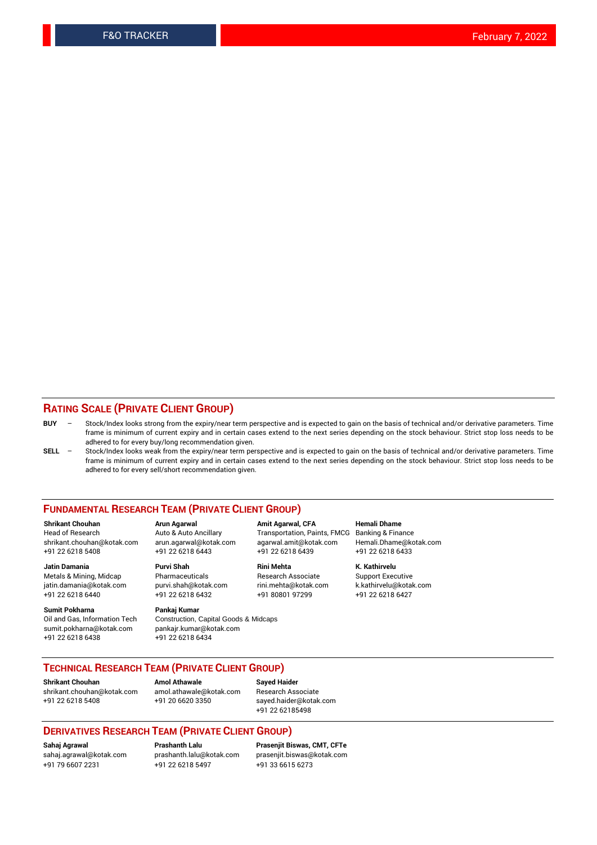## **RATING SCALE (PRIVATE CLIENT GROUP)**

- **BUY**  Stock/Index looks strong from the expiry/near term perspective and is expected to gain on the basis of technical and/or derivative parameters. Time frame is minimum of current expiry and in certain cases extend to the next series depending on the stock behaviour. Strict stop loss needs to be adhered to for every buy/long recommendation given.
- **SELL** Stock/Index looks weak from the expiry/near term perspective and is expected to gain on the basis of technical and/or derivative parameters. Time frame is minimum of current expiry and in certain cases extend to the next series depending on the stock behaviour. Strict stop loss needs to be adhered to for every sell/short recommendation given.

#### **FUNDAMENTAL RESEARCH TEAM (PRIVATE CLIENT GROUP)**

**Shrikant Chouhan Arun Agarwal Amit Agarwal, CFA Hemali Dhame** shrikant.chouhan@kotak.com arun.agarwal@kotak.com agarwal.amit@kotak.com Hemali.Dhame@kotak.com +91 22 6218 5408 +91 22 6218 6443 +91 22 6218 6439 +91 22 6218 6433

Metals & Mining, Midcap Pharmaceuticals Pharmaceuticals Research Associate Support Executive<br>
iatin.damania@kotak.com purvi.shah@kotak.com rini.mehta@kotak.com k.kathirvelu@kotak.com jatin.damania@kotak.com

**Sumit Pokharna** Pankaj Kumar<br>Oil and Gas, Information Tech Construction, sumit.pokharna@kotak.com pankajr.kumar@kotak.com +91 22 6218 6438 +91 22 6218 6434

Construction, Capital Goods & Midcaps

Transportation, Paints, FMCG

**Jatin Damania Purvi Shah Rini Mehta K. Kathirvelu** +91 22 6218 6440 +91 22 6218 6432 +91 80801 97299 +91 22 6218 6427

**TECHNICAL RESEARCH TEAM (PRIVATE CLIENT GROUP)**

[shrikant.chouhan@kotak.com](mailto:shrikant.chouhan@kotak.com) [amol.athawale@kotak.com](mailto:amol.athawale@kotak.com) Research Associate

**Shrikant Chouhan Amol Athawale Sayed Haider**

+91 22 6218 5408 +91 20 6620 3350 [sayed.haider@kotak.com](mailto:sayed.haider@kotak.com) +91 22 62185498

#### **DERIVATIVES RESEARCH TEAM (PRIVATE CLIENT GROUP)**

+91 79 6607 2231 +91 22 6218 5497 +91 33 6615 6273

**Sahaj Agrawal Prashanth Lalu Prasenjit Biswas, CMT, CFTe** [prasenjit.biswas@kotak.com](mailto:prasenjit.biswas@kotak.com)